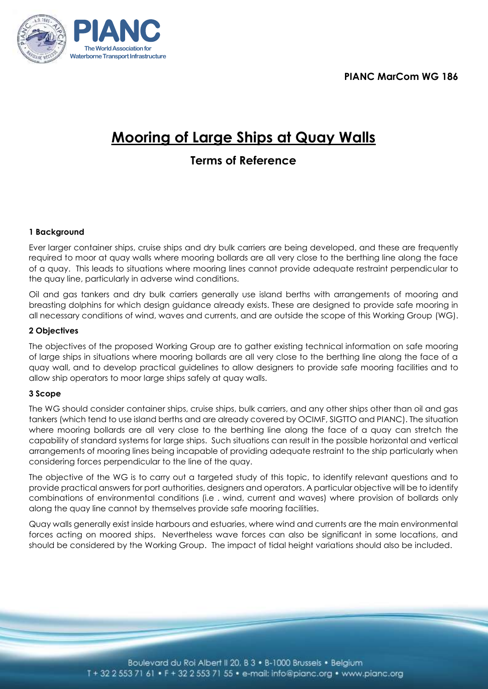**PIANC MarCom WG 186**



# **Mooring of Large Ships at Quay Walls**

# **Terms of Reference**

# **1 Background**

Ever larger container ships, cruise ships and dry bulk carriers are being developed, and these are frequently required to moor at quay walls where mooring bollards are all very close to the berthing line along the face of a quay. This leads to situations where mooring lines cannot provide adequate restraint perpendicular to the quay line, particularly in adverse wind conditions.

Oil and gas tankers and dry bulk carriers generally use island berths with arrangements of mooring and breasting dolphins for which design guidance already exists. These are designed to provide safe mooring in all necessary conditions of wind, waves and currents, and are outside the scope of this Working Group (WG).

# **2 Objectives**

The objectives of the proposed Working Group are to gather existing technical information on safe mooring of large ships in situations where mooring bollards are all very close to the berthing line along the face of a quay wall, and to develop practical guidelines to allow designers to provide safe mooring facilities and to allow ship operators to moor large ships safely at quay walls.

# **3 Scope**

The WG should consider container ships, cruise ships, bulk carriers, and any other ships other than oil and gas tankers (which tend to use island berths and are already covered by OCIMF, SIGTTO and PIANC). The situation where mooring bollards are all very close to the berthing line along the face of a quay can stretch the capability of standard systems for large ships. Such situations can result in the possible horizontal and vertical arrangements of mooring lines being incapable of providing adequate restraint to the ship particularly when considering forces perpendicular to the line of the quay.

The objective of the WG is to carry out a targeted study of this topic, to identify relevant questions and to provide practical answers for port authorities, designers and operators. A particular objective will be to identify combinations of environmental conditions (i.e . wind, current and waves) where provision of bollards only along the quay line cannot by themselves provide safe mooring facilities.

Quay walls generally exist inside harbours and estuaries, where wind and currents are the main environmental forces acting on moored ships. Nevertheless wave forces can also be significant in some locations, and should be considered by the Working Group. The impact of tidal height variations should also be included.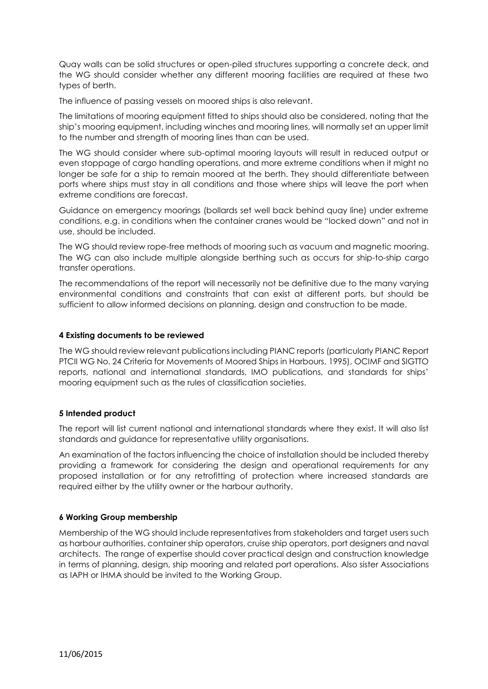Quay walls can be solid structures or open-piled structures supporting a concrete deck, and the WG should consider whether any different mooring facilities are required at these two types of berth.

The influence of passing vessels on moored ships is also relevant.

The limitations of mooring equipment fitted to ships should also be considered, noting that the ship's mooring equipment, including winches and mooring lines, will normally set an upper limit to the number and strength of mooring lines than can be used.

The WG should consider where sub-optimal mooring layouts will result in reduced output or even stoppage of cargo handling operations, and more extreme conditions when it might no longer be safe for a ship to remain moored at the berth. They should differentiate between ports where ships must stay in all conditions and those where ships will leave the port when extreme conditions are forecast.

Guidance on emergency moorings (bollards set well back behind quay line) under extreme conditions, e.g. in conditions when the container cranes would be "locked down" and not in use, should be included.

The WG should review rope-free methods of mooring such as vacuum and magnetic mooring. The WG can also include multiple alongside berthing such as occurs for ship-to-ship cargo transfer operations.

The recommendations of the report will necessarily not be definitive due to the many varying environmental conditions and constraints that can exist at different ports, but should be sufficient to allow informed decisions on planning, design and construction to be made.

#### **4 Existing documents to be reviewed**

The WG should review relevant publications including PIANC reports (particularly PIANC Report PTCII WG No. 24 Criteria for Movements of Moored Ships in Harbours, 1995), OCIMF and SIGTTO reports, national and international standards, IMO publications, and standards for ships' mooring equipment such as the rules of classification societies.

#### **5 Intended product**

The report will list current national and international standards where they exist. It will also list standards and guidance for representative utility organisations.

An examination of the factors influencing the choice of installation should be included thereby providing a framework for considering the design and operational requirements for any proposed installation or for any retrofitting of protection where increased standards are required either by the utility owner or the harbour authority.

# **6 Working Group membership**

Membership of the WG should include representatives from stakeholders and target users such as harbour authorities, container ship operators, cruise ship operators, port designers and naval architects. The range of expertise should cover practical design and construction knowledge in terms of planning, design, ship mooring and related port operations. Also sister Associations as IAPH or IHMA should be invited to the Working Group.